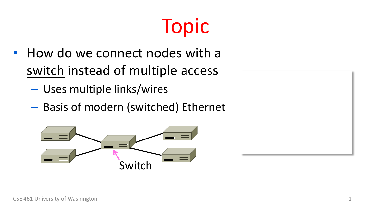## Topic

- How do we connect nodes with a switch instead of multiple access
	- Uses multiple links/wires
	- Basis of modern (switched) Ethernet

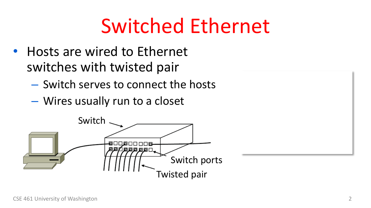#### Switched Ethernet

- Hosts are wired to Ethernet switches with twisted pair
	- Switch serves to connect the hosts
	- Wires usually run to a closet

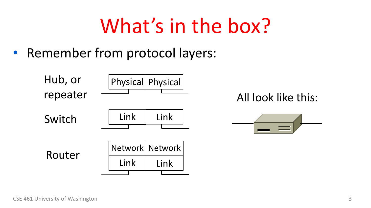#### What's in the box?

• Remember from protocol layers:

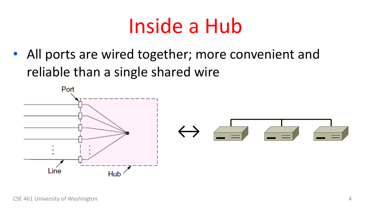#### Inside a Hub

• All ports are wired together; more convenient and reliable than a single shared wire

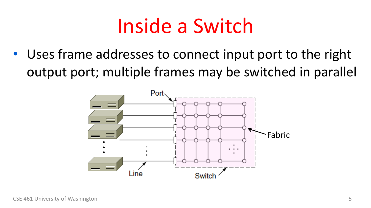#### Inside a Switch

• Uses frame addresses to connect input port to the right output port; multiple frames may be switched in parallel

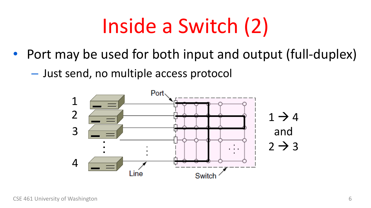# Inside a Switch (2)

- Port may be used for both input and output (full-duplex)
	- Just send, no multiple access protocol

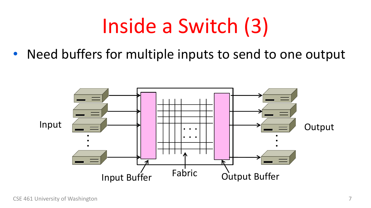#### Inside a Switch (3)

• Need buffers for multiple inputs to send to one output

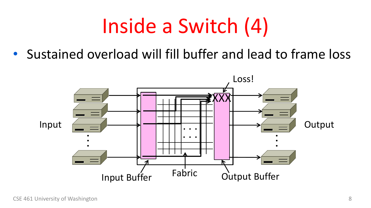#### Inside a Switch (4)

• Sustained overload will fill buffer and lead to frame loss

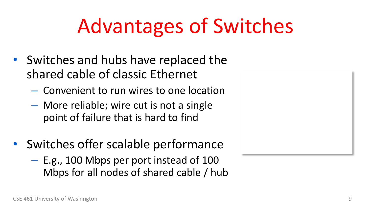#### Advantages of Switches

- Switches and hubs have replaced the shared cable of classic Ethernet
	- Convenient to run wires to one location
	- More reliable; wire cut is not a single point of failure that is hard to find
- Switches offer scalable performance
	- E.g., 100 Mbps per port instead of 100 Mbps for all nodes of shared cable / hub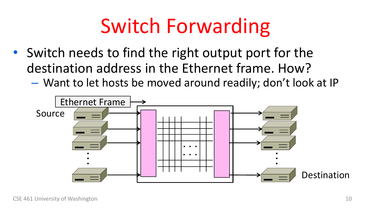#### Switch Forwarding

- Switch needs to find the right output port for the destination address in the Ethernet frame. How?
	- Want to let hosts be moved around readily; don't look at IP

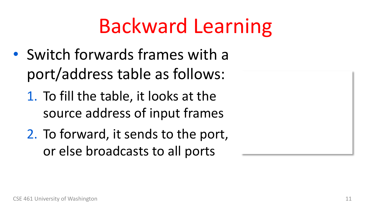#### Backward Learning

- Switch forwards frames with a port/address table as follows:
	- 1. To fill the table, it looks at the source address of input frames
	- 2. To forward, it sends to the port, or else broadcasts to all ports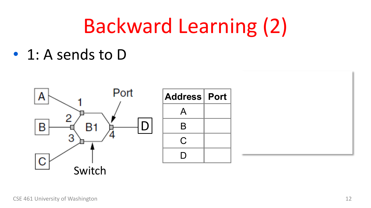#### Backward Learning (2)

• 1: A sends to D

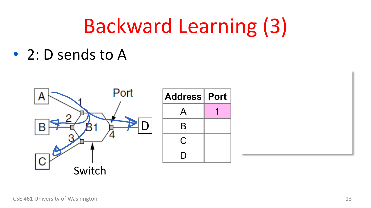#### Backward Learning (3)

• 2: D sends to A

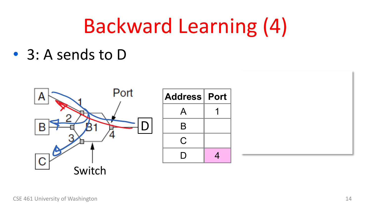#### Backward Learning (4)

• 3: A sends to D

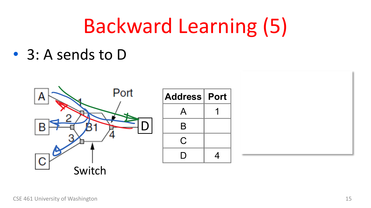#### Backward Learning (5)

• 3: A sends to D

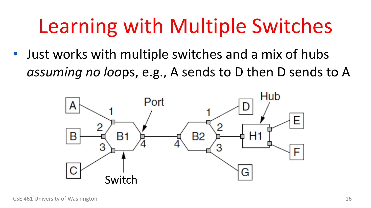#### Learning with Multiple Switches

• Just works with multiple switches and a mix of hubs *assuming no loo*ps, e.g., A sends to D then D sends to A

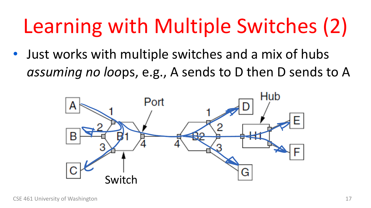# Learning with Multiple Switches (2)

• Just works with multiple switches and a mix of hubs *assuming no loo*ps, e.g., A sends to D then D sends to A

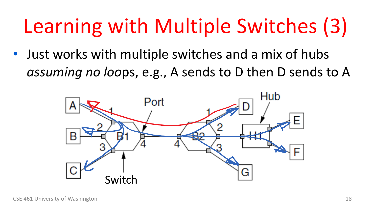# Learning with Multiple Switches (3)

• Just works with multiple switches and a mix of hubs *assuming no loo*ps, e.g., A sends to D then D sends to A

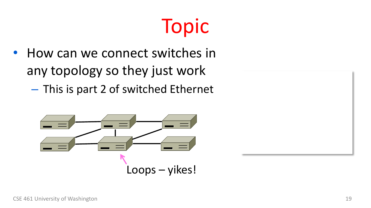#### Topic

- How can we connect switches in any topology so they just work
	- This is part 2 of switched Ethernet



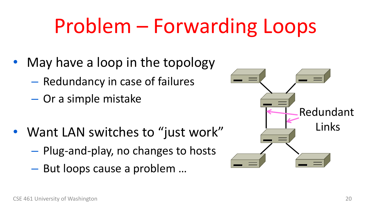#### Problem – Forwarding Loops

- May have a loop in the topology
	- Redundancy in case of failures
	- Or a simple mistake
- Want LAN switches to "just work"
	- Plug-and-play, no changes to hosts
	- But loops cause a problem …

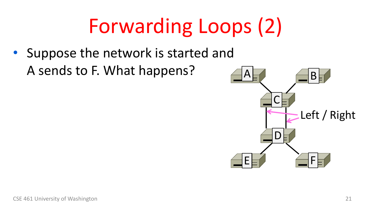# Forwarding Loops (2)

• Suppose the network is started and A sends to F. What happens?

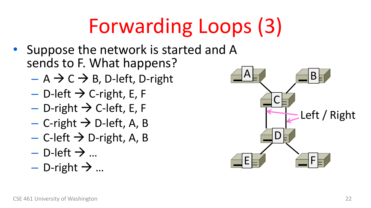# Forwarding Loops (3)

- Suppose the network is started and A sends to F. What happens?
	- $A \rightarrow C \rightarrow B$ , D-left, D-right
	- $-$  D-left  $\rightarrow$  C-right, E, F
	- $-$  D-right  $\rightarrow$  C-left, E, F
	- $-$  C-right  $\rightarrow$  D-left, A, B
	- $-$  C-left  $\rightarrow$  D-right, A, B
	- D-left  $\rightarrow$  ...
	- D-right  $\rightarrow$  ...

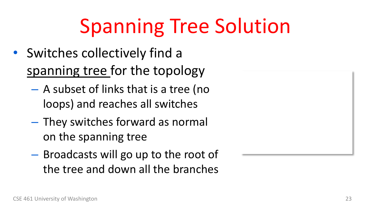## Spanning Tree Solution

- Switches collectively find a spanning tree for the topology
	- A subset of links that is a tree (no loops) and reaches all switches
	- They switches forward as normal on the spanning tree
	- Broadcasts will go up to the root of the tree and down all the branches

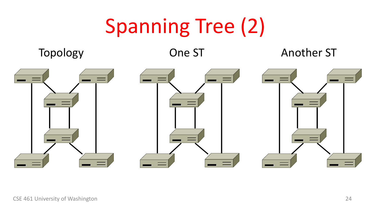#### Spanning Tree (2)



#### Topology **One ST** Another ST

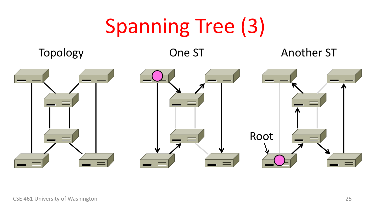#### Spanning Tree (3)



#### Topology **One ST** Another ST

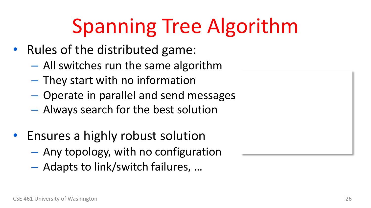#### Spanning Tree Algorithm

- Rules of the distributed game:
	- All switches run the same algorithm
	- They start with no information
	- Operate in parallel and send messages
	- Always search for the best solution
- Ensures a highly robust solution
	- Any topology, with no configuration
	- Adapts to link/switch failures, …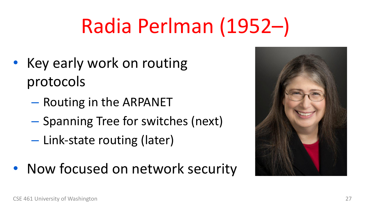# Radia Perlman (1952–)

- Key early work on routing protocols
	- Routing in the ARPANET
	- Spanning Tree for switches (next)
	- Link-state routing (later)
- Now focused on network security

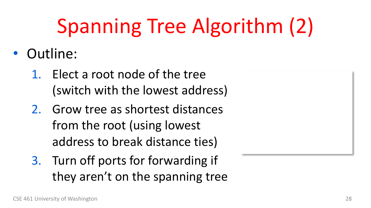# Spanning Tree Algorithm (2)

- Outline:
	- 1. Elect a root node of the tree (switch with the lowest address)
	- 2. Grow tree as shortest distances from the root (using lowest address to break distance ties)
	- 3. Turn off ports for forwarding if they aren't on the spanning tree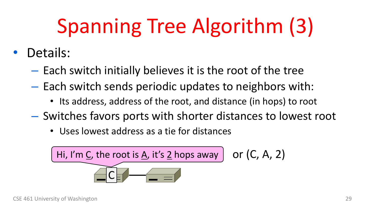# Spanning Tree Algorithm (3)

- Details:
	- Each switch initially believes it is the root of the tree
	- Each switch sends periodic updates to neighbors with:
		- Its address, address of the root, and distance (in hops) to root
	- Switches favors ports with shorter distances to lowest root
		- Uses lowest address as a tie for distances

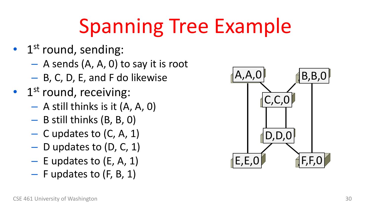## Spanning Tree Example

- $\bullet$  1<sup>st</sup> round, sending:
	- A sends (A, A, 0) to say it is root
	- B, C, D, E, and F do likewise
- $\cdot$  1<sup>st</sup> round, receiving:
	- A still thinks is it (A, A, 0)
	- B still thinks (B, B, 0)
	- C updates to (C, A, 1)
	- D updates to (D, C, 1)
	- $-$  E updates to (E, A, 1)
	- F updates to (F, B, 1)

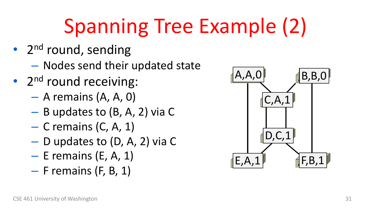# Spanning Tree Example (2)

- 2<sup>nd</sup> round, sending
	- Nodes send their updated state
- $2<sup>nd</sup>$  round receiving:
	- A remains (A, A, 0)
	- B updates to (B, A, 2) via C
	- C remains (C, A, 1)
	- D updates to (D, A, 2) via C
	- $-$  E remains (E, A, 1)
	- $-$  F remains (F, B, 1)

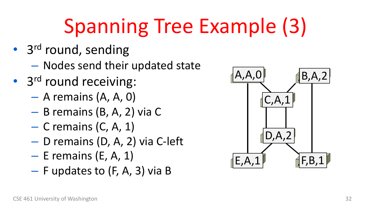# Spanning Tree Example (3)

- 3<sup>rd</sup> round, sending
	- Nodes send their updated state
- 3<sup>rd</sup> round receiving:
	- A remains (A, A, 0)
	- B remains (B, A, 2) via C
	- $-$  C remains (C, A, 1)
	- D remains (D, A, 2) via C-left
	- $-$  E remains (E, A, 1)
	- F updates to (F, A, 3) via B

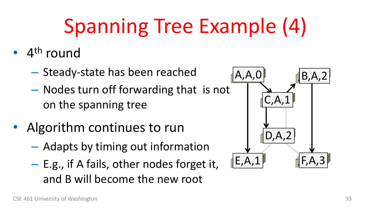# Spanning Tree Example (4)

- $\bullet$  4<sup>th</sup> round
	- Steady-state has been reached
	- Nodes turn off forwarding that is not on the spanning tree
- Algorithm continues to run
	- Adapts by timing out information
	- E.g., if A fails, other nodes forget it, and B will become the new root

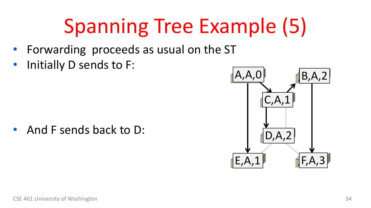# Spanning Tree Example (5)

- Forwarding proceeds as usual on the ST
- Initially D sends to F:

• And F sends back to D:

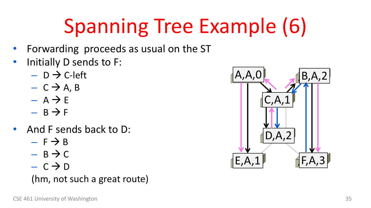# Spanning Tree Example (6)

- Forwarding proceeds as usual on the ST
- Initially D sends to F:
	- $-$  D  $\rightarrow$  C-left
	- $C \rightarrow A, B$
	- $A \rightarrow F$
	- $B \rightarrow F$
- And F sends back to D:
	- $F \rightarrow B$
	- $B \rightarrow C$
	- $C \rightarrow D$

#### (hm, not such a great route)